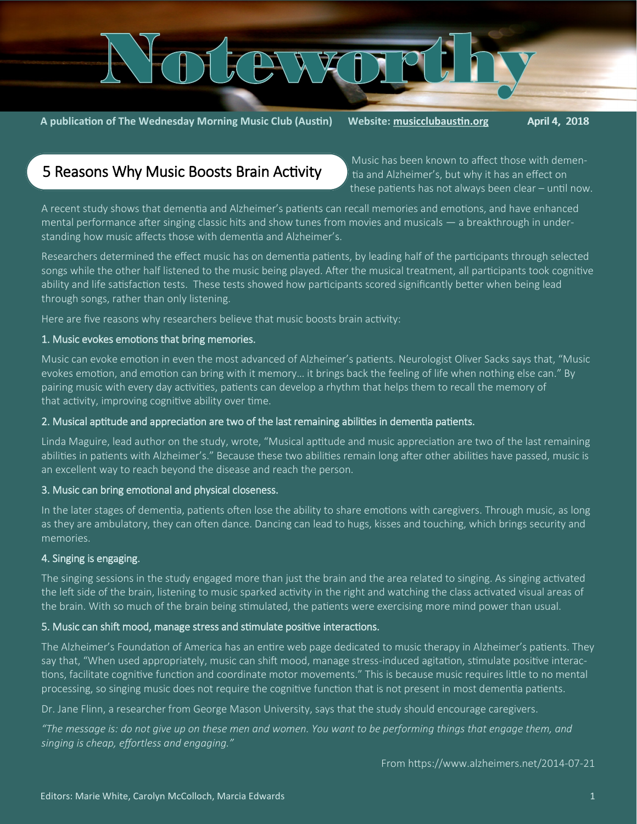

**A publication of The Wednesday Morning Music Club (Austin) Website: [musicclubaustin.org](http://musicclubaustin.org/)** April 4, 2018

## 5 Reasons Why Music Boosts Brain Activity

Music has been known to affect those with dementia and Alzheimer's, but why it has an effect on these patients has not always been clear – until now.

A recent study shows that dementia and Alzheimer's patients can recall memories and emotions, and have enhanced mental performance after singing classic hits and show tunes from movies and musicals — a breakthrough in understanding how [music affects those with dementia and Alzheimer's.](https://www.alzheimers.net/2013-06-04/music-therapy-for-dementia/)

Researchers determined the effect music has on dementia patients, by leading half of the participants through selected songs while the other half listened to the music being played. After the musical treatment, all participants took cognitive ability and life satisfaction tests. These tests showed how participants scored significantly better when being lead through songs, rather than only listening.

Here are five reasons why researchers believe that music boosts brain activity:

#### 1. Music evokes emotions that bring memories.

Music can evoke emotion in even the most advanced of Alzheimer's patients. Neurologist Oliver Sacks says that, "Music evokes emotion, and emotion can bring with it memory… it brings back the feeling of life when nothing else can." By pairing music with every day activities, patients can develop a rhythm that helps them to recall the memory of that activity, improving cognitive ability over time.

#### 2. Musical aptitude and appreciation are two of the last remaining abilities in dementia patients.

Linda Maguire, [lead author on the study,](http://www.independent.co.uk/life-style/health-and-families/health-news/singing-boosts-brain-activity-in-alzheimers-patients-scientists-say-8933021.html) wrote, "Musical aptitude and music appreciation are two of the last remaining abilities in patients with Alzheimer's." Because these two abilities remain long after other abilities have passed, music is an excellent way to reach beyond the disease and reach the person.

#### 3. Music can bring emotional and physical closeness.

In the later stages of dementia, patients often lose the ability to share emotions with caregivers. Through music, as long as they are ambulatory, they can often dance. Dancing can lead to hugs, kisses and touching, which brings security and memories.

#### 4. Singing is engaging.

The singing sessions in the study engaged more than just the brain and the area related to singing. As singing activated the left side of the brain, listening to music sparked activity in the right and watching the class activated visual areas of the brain. With so much of the brain being [stimulated,](https://www.alzheimers.net/2014-03-06/stimulating-activities-for-alzheimers-patients/) the patients were exercising more mind power than usual.

#### 5. Music can shift mood, manage stress and stimulate positive interactions.

The [Alzheimer's Foundation of America](http://www.alzfdn.org/EducationandCare/musictherapy.html) has an entire web page dedicated to music therapy in Alzheimer's patients. They say that, "When used appropriately, music can shift mood, manage stress-induced agitation, stimulate positive interactions, facilitate cognitive function and coordinate motor movements." This is because music requires little to no mental processing, so singing music does not require the cognitive function that is not present in most dementia patients.

Dr. Jane Flinn, a researcher from George Mason University, says that the study should encourage caregivers.

*"The message is: do not give up on these men and women. You want to be performing things that engage them, and singing is cheap, effortless and engaging."*

From https://www.alzheimers.net/2014-07-21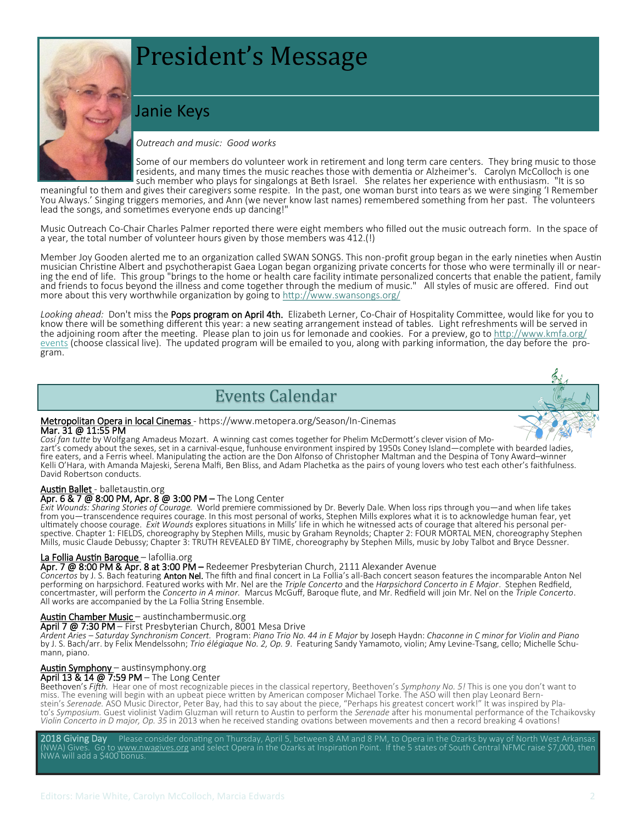# President's Message

## Janie Keys



#### *Outreach and music: Good works*

Some of our members do volunteer work in retirement and long term care centers. They bring music to those residents, and many times the music reaches those with dementia or Alzheimer's. Carolyn McColloch is one such member who plays for singalongs at Beth Israel. She relates her experience with enthusiasm. "It is so

meaningful to them and gives their caregivers some respite. In the past, one woman burst into tears as we were singing 'I Remember You Always.' Singing triggers memories, and Ann (we never know last names) remembered something from her past. The volunteers lead the songs, and sometimes everyone ends up dancing!"

Music Outreach Co-Chair Charles Palmer reported there were eight members who filled out the music outreach form. In the space of a year, the total number of volunteer hours given by those members was 412.(!)

Member Joy Gooden alerted me to an organization called SWAN SONGS. This non-profit group began in the early nineties when Austin musician Christine Albert and psychotherapist Gaea Logan began organizing private concerts for those who were terminally ill or nearing the end of life. This group "brings to the home or health care facility intimate personalized concerts that enable the patient, family and friends to focus beyond the illness and come together through the medium of music." All styles of music are offered. Find out more about this very worthwhile organization by going to <http://www.swansongs.org/>

*Looking ahead:* Don't miss the Pops program on April 4th. Elizabeth Lerner, Co-Chair of Hospitality Committee, would like for you to know there will be something different this year: a new seating arrangement instead of tables. Light refreshments will be served in the adjoining room after the meeting. Please plan to join us for lemonade and cookies. For a preview, go to [http://www.kmfa.org/](http://www.kmfa.org/events) [events](http://www.kmfa.org/events) (choose classical live). The updated program will be emailed to you, along with parking information, the day before the program.

## Events Calendar



#### Metropolitan Opera in local Cinemas - [https://www.metopera.org/Season/In](https://www.metopera.org/Season/In-Cinemas/)-Cinemas Mar. 31 @ 11:55 PM

*Cosí fan tutte* by Wolfgang Amadeus Mozart. A winning cast comes together for Phelim McDermott's clever vision of Mozart's comedy about the sexes, set in a carnival-esque, funhouse environment inspired by 1950s Coney Island—complete with bearded ladies, fire eaters, and a Ferris wheel. Manipulating the action are the Don Alfonso of Christopher Maltman and the Despina of Tony Award–winner Kelli O'Hara, with Amanda Majeski, Serena Malfi, Ben Bliss, and Adam Plachetka as the pairs of young lovers who test each other's faithfulness. David Robertson conducts.

#### Austin Ballet - balletaustin.org

#### Apr. 6 & 7 @ 8:00 PM, Apr. 8 @ 3:00 PM – The Long Center

*Exit Wounds: Sharing Stories of Courage.* World premiere commissioned by Dr. Beverly Dale. When loss rips through you—and when life takes from you—transcendence requires courage. In this most personal of works, Stephen Mills explores what it is to acknowledge human fear, yet ultimately choose courage. *Exit Wounds* explores situations in Mills' life in which he witnessed acts of courage that altered his personal perspective. Chapter 1: FIELDS, choreography by Stephen Mills, music by Graham Reynolds; Chapter 2: FOUR MORTAL MEN, choreography Stephen Mills, music Claude Debussy; Chapter 3: TRUTH REVEALED BY TIME, choreography by Stephen Mills, music by Joby Talbot and Bryce Dessner.

#### La Follia Austin Baroque - lafollia.org

Apr. 7 @ 8:00 PM & Apr. 8 at 3:00 PM – Redeemer Presbyterian Church, 2111 Alexander Avenue

*Concertos* by J. S. Bach featuring Anton Nel. The fifth and final concert in La Follia's all-Bach concert season features the incomparable Anton Nel performing on harpsichord. Featured works with Mr. Nel are the *Triple Concerto* and the *Harpsichord Concerto in E Major*. Stephen Redfield, concertmaster, will perform the *Concerto in A minor.* Marcus McGuff, Baroque flute, and Mr. Redfield will join Mr. Nel on the *Triple Concerto*. All works are accompanied by the La Follia String Ensemble.

#### Austin Chamber Music – austinchambermusic.org

#### April 7 @ 7:30 PM – First Presbyterian Church, 8001 Mesa Drive

*Ardent Aries – Saturday Synchronism Concert.* Program: *Piano Trio No. 44 in E Major* by Joseph Haydn: *Chaconne in C minor for Violin and Piano*  by J. S. Bach/arr. by Felix Mendelssohn; *Trio élégiaque No. 2, Op. 9*. Featuring Sandy Yamamoto, violin; Amy Levine-Tsang, cello; Michelle Schumann, piano.

#### Austin Symphony – austinsymphony.org

#### April 13 & 14 @ 7:59 PM – The Long Center

Beethoven's *Fifth.* Hear one of most recognizable pieces in the classical repertory, Beethoven's *Symphony No. 5!* This is one you don't want to miss. The evening will begin with an upbeat piece written by American composer Michael Torke. The ASO will then play Leonard Bernstein's *Serenade.* ASO Music Director, Peter Bay, had this to say about the piece, "Perhaps his greatest concert work!" It was inspired by Plato's *Symposium.* Guest violinist Vadim Gluzman will return to Austin to perform the *Serenade* after his monumental performance of the Tchaikovsky *Violin Concerto in D major, Op. 35* in 2013 when he received standing ovations between movements and then a record breaking 4 ovations!

2018 Giving Day Please consider donating on Thursday, April 5, between 8 AM and 8 PM, to Opera in the Ozarks by way of North West Arkansas Gives. Go to [www.nwagives.org](http://www.nwagives.org) and select Opera in the Ozarks at Inspiration Point. If the 5 states of South Central NFMC raise \$7,000, then  $N$ WA will add a \$400 bonus.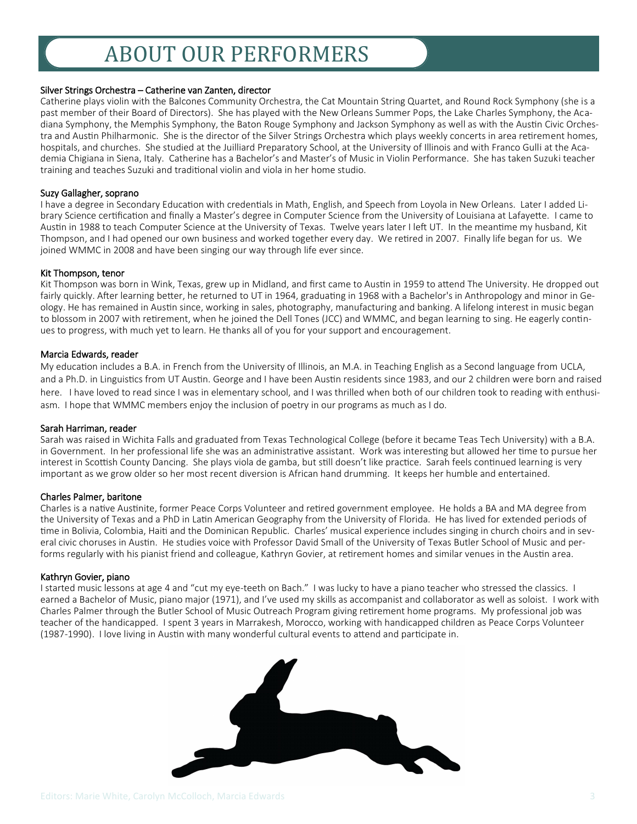## ABOUT OUR PERFORMERS

#### Silver Strings Orchestra – Catherine van Zanten, director

Catherine plays violin with the Balcones Community Orchestra, the Cat Mountain String Quartet, and Round Rock Symphony (she is a past member of their Board of Directors). She has played with the New Orleans Summer Pops, the Lake Charles Symphony, the Acadiana Symphony, the Memphis Symphony, the Baton Rouge Symphony and Jackson Symphony as well as with the Austin Civic Orchestra and Austin Philharmonic. She is the director of the Silver Strings Orchestra which plays weekly concerts in area retirement homes, hospitals, and churches. She studied at the Juilliard Preparatory School, at the University of Illinois and with Franco Gulli at the Academia Chigiana in Siena, Italy. Catherine has a Bachelor's and Master's of Music in Violin Performance. She has taken Suzuki teacher training and teaches Suzuki and traditional violin and viola in her home studio.

#### Suzy Gallagher, soprano

I have a degree in Secondary Education with credentials in Math, English, and Speech from Loyola in New Orleans. Later I added Library Science certification and finally a Master's degree in Computer Science from the University of Louisiana at Lafayette. I came to Austin in 1988 to teach Computer Science at the University of Texas. Twelve years later I left UT. In the meantime my husband, Kit Thompson, and I had opened our own business and worked together every day. We retired in 2007. Finally life began for us. We joined WMMC in 2008 and have been singing our way through life ever since.

#### Kit Thompson, tenor

Kit Thompson was born in Wink, Texas, grew up in Midland, and first came to Austin in 1959 to attend The University. He dropped out fairly quickly. After learning better, he returned to UT in 1964, graduating in 1968 with a Bachelor's in Anthropology and minor in Geology. He has remained in Austin since, working in sales, photography, manufacturing and banking. A lifelong interest in music began to blossom in 2007 with retirement, when he joined the Dell Tones (JCC) and WMMC, and began learning to sing. He eagerly continues to progress, with much yet to learn. He thanks all of you for your support and encouragement.

#### Marcia Edwards, reader

My education includes a B.A. in French from the University of Illinois, an M.A. in Teaching English as a Second language from UCLA, and a Ph.D. in Linguistics from UT Austin. George and I have been Austin residents since 1983, and our 2 children were born and raised here. I have loved to read since I was in elementary school, and I was thrilled when both of our children took to reading with enthusiasm. I hope that WMMC members enjoy the inclusion of poetry in our programs as much as I do.

#### Sarah Harriman, reader

Sarah was raised in Wichita Falls and graduated from Texas Technological College (before it became Teas Tech University) with a B.A. in Government. In her professional life she was an administrative assistant. Work was interesting but allowed her time to pursue her interest in Scottish County Dancing. She plays viola de gamba, but still doesn't like practice. Sarah feels continued learning is very important as we grow older so her most recent diversion is African hand drumming. It keeps her humble and entertained.

#### Charles Palmer, baritone

Charles is a native Austinite, former Peace Corps Volunteer and retired government employee. He holds a BA and MA degree from the University of Texas and a PhD in Latin American Geography from the University of Florida. He has lived for extended periods of time in Bolivia, Colombia, Haiti and the Dominican Republic. Charles' musical experience includes singing in church choirs and in several civic choruses in Austin. He studies voice with Professor David Small of the University of Texas Butler School of Music and performs regularly with his pianist friend and colleague, Kathryn Govier, at retirement homes and similar venues in the Austin area.

#### Kathryn Govier, piano

I started music lessons at age 4 and "cut my eye-teeth on Bach." I was lucky to have a piano teacher who stressed the classics. I earned a Bachelor of Music, piano major (1971), and I've used my skills as accompanist and collaborator as well as soloist. I work with Charles Palmer through the Butler School of Music Outreach Program giving retirement home programs. My professional job was teacher of the handicapped. I spent 3 years in Marrakesh, Morocco, working with handicapped children as Peace Corps Volunteer (1987-1990). I love living in Austin with many wonderful cultural events to attend and participate in.